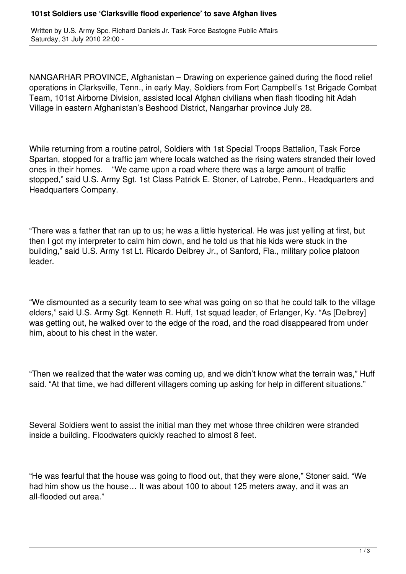## **101st Soldiers use 'Clarksville flood experience' to save Afghan lives**

Written by U.S. Army Spc. Richard Daniels Jr. Task Force Bastogne Public Affairs Saturday, 31 July 2010 22:00 -

NANGARHAR PROVINCE, Afghanistan – Drawing on experience gained during the flood relief operations in Clarksville, Tenn., in early May, Soldiers from Fort Campbell's 1st Brigade Combat Team, 101st Airborne Division, assisted local Afghan civilians when flash flooding hit Adah Village in eastern Afghanistan's Beshood District, Nangarhar province July 28.

While returning from a routine patrol, Soldiers with 1st Special Troops Battalion, Task Force Spartan, stopped for a traffic jam where locals watched as the rising waters stranded their loved ones in their homes. "We came upon a road where there was a large amount of traffic stopped," said U.S. Army Sgt. 1st Class Patrick E. Stoner, of Latrobe, Penn., Headquarters and Headquarters Company.

"There was a father that ran up to us; he was a little hysterical. He was just yelling at first, but then I got my interpreter to calm him down, and he told us that his kids were stuck in the building," said U.S. Army 1st Lt. Ricardo Delbrey Jr., of Sanford, Fla., military police platoon leader.

"We dismounted as a security team to see what was going on so that he could talk to the village elders," said U.S. Army Sgt. Kenneth R. Huff, 1st squad leader, of Erlanger, Ky. "As [Delbrey] was getting out, he walked over to the edge of the road, and the road disappeared from under him, about to his chest in the water.

"Then we realized that the water was coming up, and we didn't know what the terrain was," Huff said. "At that time, we had different villagers coming up asking for help in different situations."

Several Soldiers went to assist the initial man they met whose three children were stranded inside a building. Floodwaters quickly reached to almost 8 feet.

"He was fearful that the house was going to flood out, that they were alone," Stoner said. "We had him show us the house… It was about 100 to about 125 meters away, and it was an all-flooded out area."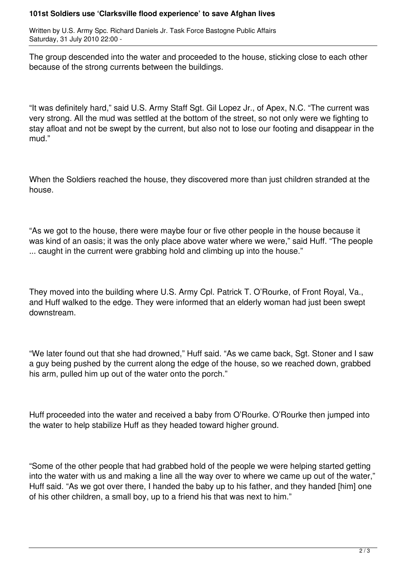## **101st Soldiers use 'Clarksville flood experience' to save Afghan lives**

Written by U.S. Army Spc. Richard Daniels Jr. Task Force Bastogne Public Affairs Saturday, 31 July 2010 22:00 -

The group descended into the water and proceeded to the house, sticking close to each other because of the strong currents between the buildings.

"It was definitely hard," said U.S. Army Staff Sgt. Gil Lopez Jr., of Apex, N.C. "The current was very strong. All the mud was settled at the bottom of the street, so not only were we fighting to stay afloat and not be swept by the current, but also not to lose our footing and disappear in the mud."

When the Soldiers reached the house, they discovered more than just children stranded at the house.

"As we got to the house, there were maybe four or five other people in the house because it was kind of an oasis; it was the only place above water where we were," said Huff. "The people ... caught in the current were grabbing hold and climbing up into the house."

They moved into the building where U.S. Army Cpl. Patrick T. O'Rourke, of Front Royal, Va., and Huff walked to the edge. They were informed that an elderly woman had just been swept downstream.

"We later found out that she had drowned," Huff said. "As we came back, Sgt. Stoner and I saw a guy being pushed by the current along the edge of the house, so we reached down, grabbed his arm, pulled him up out of the water onto the porch."

Huff proceeded into the water and received a baby from O'Rourke. O'Rourke then jumped into the water to help stabilize Huff as they headed toward higher ground.

"Some of the other people that had grabbed hold of the people we were helping started getting into the water with us and making a line all the way over to where we came up out of the water," Huff said. "As we got over there, I handed the baby up to his father, and they handed [him] one of his other children, a small boy, up to a friend his that was next to him."